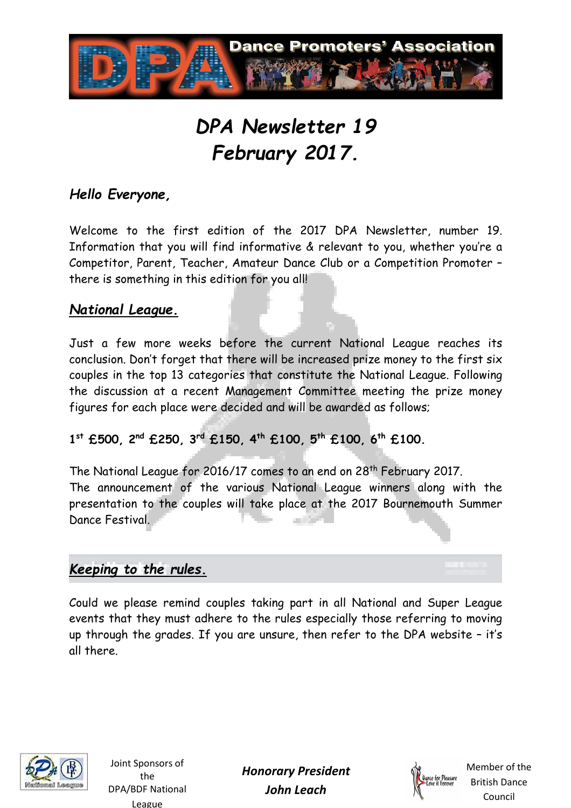

# *DPA Newsletter 19 February 2017.*

## *Hello Everyone,*

Welcome to the first edition of the 2017 DPA Newsletter, number 19. Information that you will find informative & relevant to you, whether you're a Competitor, Parent, Teacher, Amateur Dance Club or a Competition Promoter – there is something in this edition for you all!

#### *National League.*

Just a few more weeks before the current National League reaches its conclusion. Don't forget that there will be increased prize money to the first six couples in the top 13 categories that constitute the National League. Following the discussion at a recent Management Committee meeting the prize money figures for each place were decided and will be awarded as follows;

**1 st £500, 2nd £250, 3rd £150, 4th £100, 5th £100, 6th £100.** 

The National League for 2016/17 comes to an end on 28th February 2017. The announcement of the various National League winners along with the presentation to the couples will take place at the 2017 Bournemouth Summer Dance Festival.

# *Keeping to the rules.*

Could we please remind couples taking part in all National and Super League events that they must adhere to the rules especially those referring to moving up through the grades. If you are unsure, then refer to the DPA website – it's all there.



Joint Sponsors of the DPA/BDF National League

*Honorary President John Leach* 

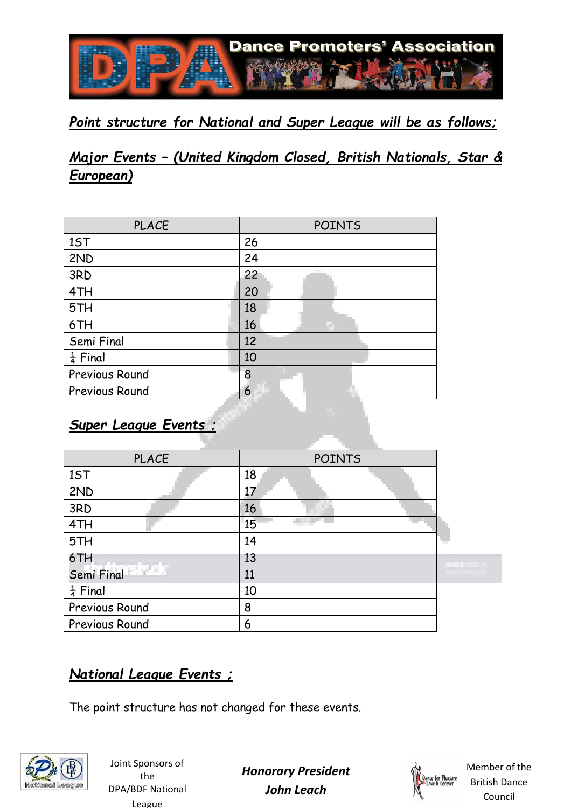

## *Point structure for National and Super League will be as follows;*

# *Major Events – (United Kingdom Closed, British Nationals, Star & European)*

| <b>PLACE</b>          | <b>POINTS</b> |
|-----------------------|---------------|
| 1ST                   | 26            |
| 2ND                   | 24            |
| 3RD                   | 22            |
| 4TH                   | 20            |
| 5TH                   | 18            |
| 6TH                   | 16            |
| Semi Final            | 12            |
| $rac{1}{4}$ Final     | 10            |
| Previous Round        | 8             |
| <b>Previous Round</b> | 6             |

# *Super League Events ;*

| <b>PLACE</b>        | <b>POINTS</b> |         |
|---------------------|---------------|---------|
| 1ST                 | 18            |         |
| 2ND                 | 17            |         |
| 3RD                 | 16            |         |
| 4TH                 | 15            |         |
| 5TH                 | 14            |         |
| 6TH                 | 13            | an di S |
| Semi Final          | 11            |         |
| $\frac{1}{4}$ Final | 10            |         |
| Previous Round      | 8             |         |
| Previous Round      | 6             |         |

# *National League Events ;*

The point structure has not changed for these events.



Joint Sponsors of the DPA/BDF National League

*Honorary President John Leach* 

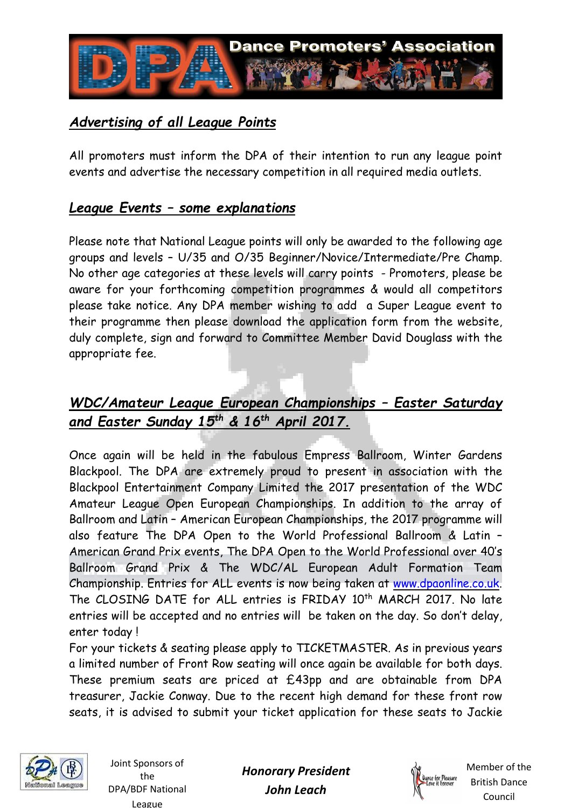

# *Advertising of all League Points*

All promoters must inform the DPA of their intention to run any league point events and advertise the necessary competition in all required media outlets.

#### *League Events – some explanations*

Please note that National League points will only be awarded to the following age groups and levels – U/35 and O/35 Beginner/Novice/Intermediate/Pre Champ. No other age categories at these levels will carry points - Promoters, please be aware for your forthcoming competition programmes & would all competitors please take notice. Any DPA member wishing to add a Super League event to their programme then please download the application form from the website, duly complete, sign and forward to Committee Member David Douglass with the appropriate fee.

## *WDC/Amateur League European Championships – Easter Saturday and Easter Sunday 15th & 16th April 2017.*

Once again will be held in the fabulous Empress Ballroom, Winter Gardens Blackpool. The DPA are extremely proud to present in association with the Blackpool Entertainment Company Limited the 2017 presentation of the WDC Amateur League Open European Championships. In addition to the array of Ballroom and Latin – American European Championships, the 2017 programme will also feature The DPA Open to the World Professional Ballroom & Latin – American Grand Prix events, The DPA Open to the World Professional over 40's Ballroom Grand Prix & The WDC/AL European Adult Formation Team Championship. Entries for ALL events is now being taken at www.dpaonline.co.uk. The CLOSING DATE for ALL entries is FRIDAY 10<sup>th</sup> MARCH 2017. No late entries will be accepted and no entries will be taken on the day. So don't delay, enter today !

For your tickets & seating please apply to TICKETMASTER. As in previous years a limited number of Front Row seating will once again be available for both days. These premium seats are priced at £43pp and are obtainable from DPA treasurer, Jackie Conway. Due to the recent high demand for these front row seats, it is advised to submit your ticket application for these seats to Jackie



Joint Sponsors of the DPA/BDF National League

*Honorary President John Leach* 

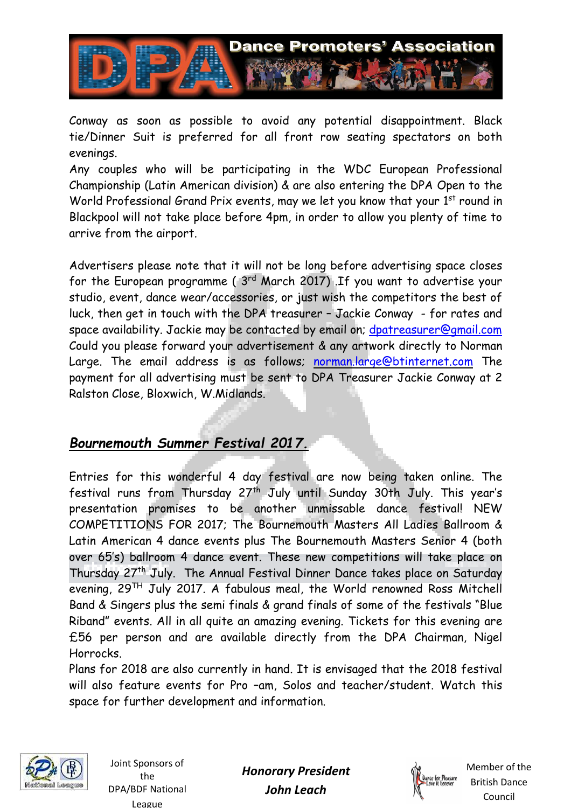

Conway as soon as possible to avoid any potential disappointment. Black tie/Dinner Suit is preferred for all front row seating spectators on both evenings.

Any couples who will be participating in the WDC European Professional Championship (Latin American division) & are also entering the DPA Open to the World Professional Grand Prix events, may we let you know that your 1<sup>st</sup> round in Blackpool will not take place before 4pm, in order to allow you plenty of time to arrive from the airport.

Advertisers please note that it will not be long before advertising space closes for the European programme ( 3rd March 2017) .If you want to advertise your studio, event, dance wear/accessories, or just wish the competitors the best of luck, then get in touch with the DPA treasurer – Jackie Conway - for rates and space availability. Jackie may be contacted by email on; dpatreasurer@gmail.com Could you please forward your advertisement & any artwork directly to Norman Large. The email address is as follows; norman.large@btinternet.com The payment for all advertising must be sent to DPA Treasurer Jackie Conway at 2 Ralston Close, Bloxwich, W.Midlands.

## *Bournemouth Summer Festival 2017.*

Entries for this wonderful 4 day festival are now being taken online. The festival runs from Thursday 27th July until Sunday 30th July. This year's presentation promises to be another unmissable dance festival! NEW COMPETITIONS FOR 2017; The Bournemouth Masters All Ladies Ballroom & Latin American 4 dance events plus The Bournemouth Masters Senior 4 (both over 65's) ballroom 4 dance event. These new competitions will take place on Thursday 27th July. The Annual Festival Dinner Dance takes place on Saturday evening, 29TH July 2017. A fabulous meal, the World renowned Ross Mitchell Band & Singers plus the semi finals & grand finals of some of the festivals "Blue Riband" events. All in all quite an amazing evening. Tickets for this evening are £56 per person and are available directly from the DPA Chairman, Nigel Horrocks.

Plans for 2018 are also currently in hand. It is envisaged that the 2018 festival will also feature events for Pro –am, Solos and teacher/student. Watch this space for further development and information.



Joint Sponsors of the DPA/BDF National League

*Honorary President John Leach*